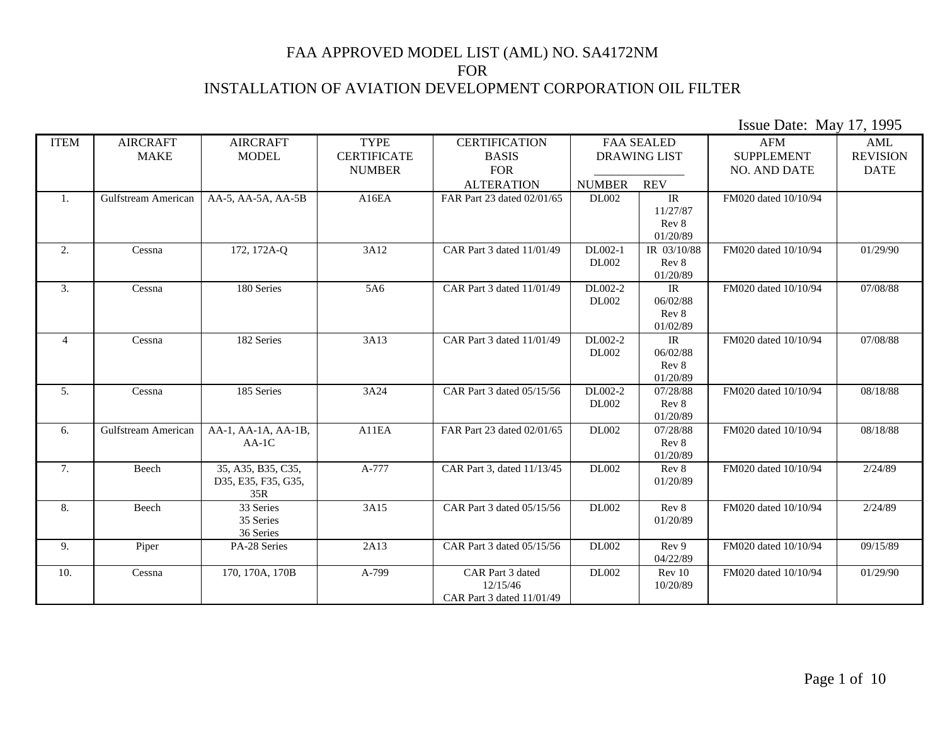| <b>ITEM</b>      | <b>AIRCRAFT</b><br><b>MAKE</b> | <b>AIRCRAFT</b><br><b>MODEL</b>                  | <b>TYPE</b><br><b>CERTIFICATE</b> | <b>CERTIFICATION</b><br><b>BASIS</b>                      |                         | <b>FAA SEALED</b><br><b>DRAWING LIST</b>                           | AFM<br><b>SUPPLEMENT</b> | AML<br><b>REVISION</b> |
|------------------|--------------------------------|--------------------------------------------------|-----------------------------------|-----------------------------------------------------------|-------------------------|--------------------------------------------------------------------|--------------------------|------------------------|
|                  |                                |                                                  | <b>NUMBER</b>                     | <b>FOR</b>                                                |                         |                                                                    | NO. AND DATE             | <b>DATE</b>            |
|                  |                                |                                                  |                                   | <b>ALTERATION</b>                                         | <b>NUMBER</b>           | <b>REV</b>                                                         |                          |                        |
| 1.               | Gulfstream American            | AA-5, AA-5A, AA-5B                               | A16EA                             | FAR Part 23 dated 02/01/65                                | <b>DL002</b>            | IR<br>11/27/87<br>Rev 8<br>01/20/89                                | FM020 dated 10/10/94     |                        |
| 2.               | Cessna                         | 172, 172A-Q                                      | 3A12                              | CAR Part 3 dated 11/01/49                                 | DL002-1<br><b>DL002</b> | IR 03/10/88<br>Rev 8<br>01/20/89                                   | FM020 dated 10/10/94     | 01/29/90               |
| $\overline{3}$ . | Cessna                         | 180 Series                                       | 5A6                               | CAR Part 3 dated 11/01/49                                 | DL002-2<br><b>DL002</b> | IR<br>06/02/88<br>Rev 8<br>01/02/89                                | FM020 dated 10/10/94     | 07/08/88               |
| $\overline{4}$   | Cessna                         | 182 Series                                       | 3A13                              | CAR Part 3 dated 11/01/49                                 | DL002-2<br><b>DL002</b> | $\ensuremath{\mathsf{IR}}\xspace$<br>06/02/88<br>Rev 8<br>01/20/89 | FM020 dated 10/10/94     | 07/08/88               |
| 5.               | Cessna                         | 185 Series                                       | 3A24                              | CAR Part 3 dated 05/15/56                                 | DL002-2<br><b>DL002</b> | 07/28/88<br>Rev 8<br>01/20/89                                      | FM020 dated 10/10/94     | 08/18/88               |
| 6.               | Gulfstream American            | AA-1, AA-1A, AA-1B,<br>$AA-1C$                   | A11EA                             | FAR Part 23 dated 02/01/65                                | DL002                   | 07/28/88<br>Rev 8<br>01/20/89                                      | FM020 dated 10/10/94     | 08/18/88               |
| 7.               | Beech                          | 35, A35, B35, C35,<br>D35, E35, F35, G35,<br>35R | A-777                             | CAR Part 3, dated 11/13/45                                | DL002                   | Rev 8<br>01/20/89                                                  | FM020 dated 10/10/94     | 2/24/89                |
| 8.               | Beech                          | 33 Series<br>35 Series<br>36 Series              | 3A15                              | CAR Part 3 dated 05/15/56                                 | DL002                   | Rev 8<br>01/20/89                                                  | FM020 dated 10/10/94     | 2/24/89                |
| 9.               | Piper                          | PA-28 Series                                     | 2A13                              | CAR Part 3 dated 05/15/56                                 | DL002                   | Rev 9<br>04/22/89                                                  | FM020 dated 10/10/94     | 09/15/89               |
| 10.              | Cessna                         | 170, 170A, 170B                                  | A-799                             | CAR Part 3 dated<br>12/15/46<br>CAR Part 3 dated 11/01/49 | DL002                   | Rev 10<br>10/20/89                                                 | FM020 dated 10/10/94     | 01/29/90               |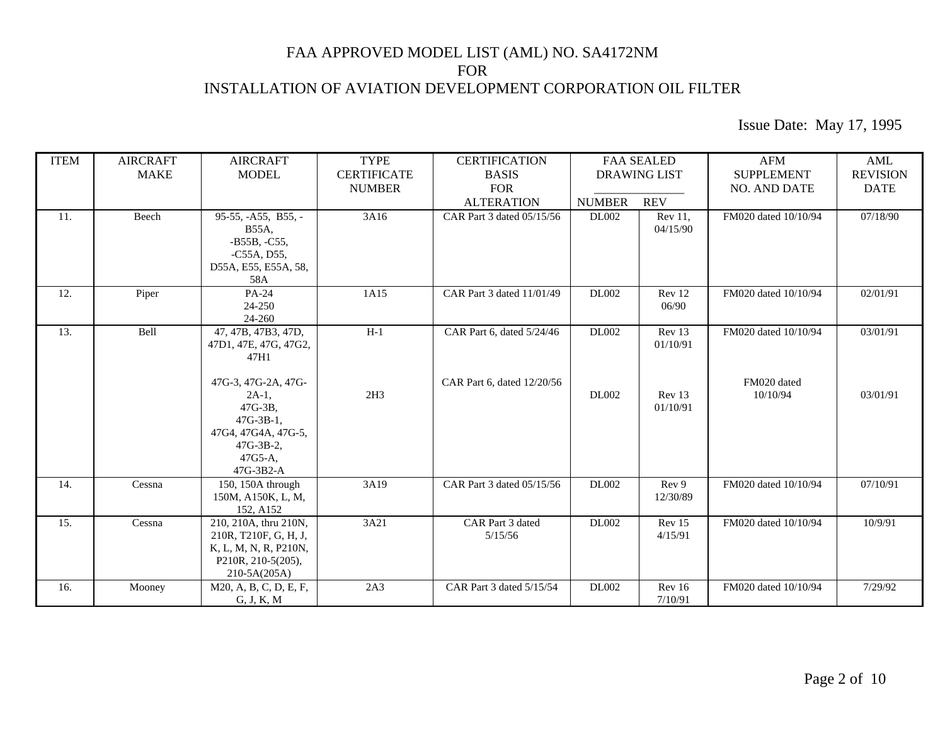| <b>ITEM</b> | <b>AIRCRAFT</b><br><b>MAKE</b> | <b>AIRCRAFT</b><br><b>MODEL</b>                                                                                                          | <b>TYPE</b><br><b>CERTIFICATE</b><br><b>NUMBER</b> | <b>CERTIFICATION</b><br><b>BASIS</b><br><b>FOR</b>      | <b>FAA SEALED</b><br><b>DRAWING LIST</b> |                                          | <b>AFM</b><br><b>SUPPLEMENT</b><br><b>NO. AND DATE</b> | AML<br><b>REVISION</b><br><b>DATE</b> |
|-------------|--------------------------------|------------------------------------------------------------------------------------------------------------------------------------------|----------------------------------------------------|---------------------------------------------------------|------------------------------------------|------------------------------------------|--------------------------------------------------------|---------------------------------------|
|             |                                |                                                                                                                                          |                                                    | <b>ALTERATION</b>                                       | <b>NUMBER</b>                            | <b>REV</b>                               |                                                        |                                       |
| 11.         | Beech                          | 95-55, -A55, B55, -<br><b>B55A,</b><br>$-B55B, -C55,$<br>$-C55A, D55,$<br>D55A, E55, E55A, 58,<br>58A                                    | $\overline{3A}16$                                  | CAR Part 3 dated 05/15/56                               | <b>DL002</b>                             | Rev 11,<br>04/15/90                      | FM020 dated 10/10/94                                   | 07/18/90                              |
| 12.         | Piper                          | PA-24<br>24-250<br>24-260                                                                                                                | 1A15                                               | CAR Part 3 dated 11/01/49                               | <b>DL002</b>                             | Rev 12<br>06/90                          | FM020 dated 10/10/94                                   | 02/01/91                              |
| 13.         | Bell                           | 47, 47B, 47B3, 47D,<br>47D1, 47E, 47G, 47G2,<br>47H1<br>47G-3, 47G-2A, 47G-<br>$2A-1$ ,<br>47G-3B.<br>$47G-3B-1.$<br>47G4, 47G4A, 47G-5, | $H-1$<br>2H3                                       | CAR Part 6, dated 5/24/46<br>CAR Part 6, dated 12/20/56 | <b>DL002</b><br><b>DL002</b>             | Rev 13<br>01/10/91<br>Rev 13<br>01/10/91 | FM020 dated 10/10/94<br>FM020 dated<br>10/10/94        | 03/01/91<br>03/01/91                  |
|             |                                | $47G-3B-2$ ,<br>$47G5-A$ ,<br>47G-3B2-A                                                                                                  |                                                    |                                                         |                                          |                                          |                                                        |                                       |
| 14.         | Cessna                         | 150, 150 $A$ through<br>150M, A150K, L, M,<br>152, A152                                                                                  | 3A19                                               | CAR Part 3 dated 05/15/56                               | <b>DL002</b>                             | Rev 9<br>12/30/89                        | FM020 dated 10/10/94                                   | 07/10/91                              |
| 15.         | Cessna                         | 210, 210A, thru 210N,<br>210R, T210F, G, H, J,<br>K, L, M, N, R, P210N,<br>P210R, 210-5(205),<br>210-5A(205A)                            | 3A21                                               | CAR Part 3 dated<br>5/15/56                             | <b>DL002</b>                             | Rev 15<br>4/15/91                        | FM020 dated 10/10/94                                   | 10/9/91                               |
| 16.         | Mooney                         | M20, A, B, C, D, E, F,<br>G, J, K, M                                                                                                     | 2A3                                                | CAR Part 3 dated 5/15/54                                | DL002                                    | Rev 16<br>7/10/91                        | FM020 dated 10/10/94                                   | 7/29/92                               |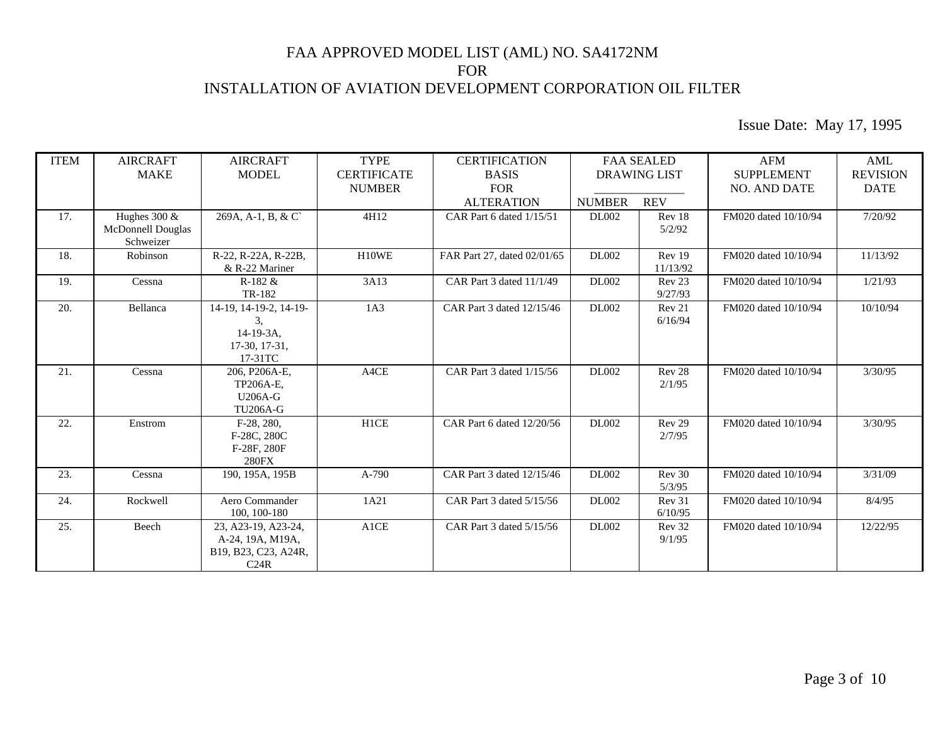| <b>ITEM</b> | <b>AIRCRAFT</b>                                   | <b>AIRCRAFT</b>                                                          | <b>TYPE</b>        | <b>CERTIFICATION</b>        |               | <b>FAA SEALED</b>           | AFM                  | AML             |
|-------------|---------------------------------------------------|--------------------------------------------------------------------------|--------------------|-----------------------------|---------------|-----------------------------|----------------------|-----------------|
|             | <b>MAKE</b>                                       | <b>MODEL</b>                                                             | <b>CERTIFICATE</b> | <b>BASIS</b>                |               | <b>DRAWING LIST</b>         | <b>SUPPLEMENT</b>    | <b>REVISION</b> |
|             |                                                   |                                                                          | <b>NUMBER</b>      | <b>FOR</b>                  |               |                             | <b>NO. AND DATE</b>  | <b>DATE</b>     |
|             |                                                   |                                                                          |                    | <b>ALTERATION</b>           | <b>NUMBER</b> | <b>REV</b>                  |                      |                 |
| 17.         | Hughes $300 \&$<br>McDonnell Douglas<br>Schweizer | 269A, A-1, B, & C`                                                       | 4H12               | CAR Part 6 dated 1/15/51    | <b>DL002</b>  | Rev 18<br>5/2/92            | FM020 dated 10/10/94 | 7/20/92         |
| 18.         | Robinson                                          | R-22, R-22A, R-22B,<br>& R-22 Mariner                                    | H10WE              | FAR Part 27, dated 02/01/65 | <b>DL002</b>  | Rev 19<br>11/13/92          | FM020 dated 10/10/94 | 11/13/92        |
| 19.         | Cessna                                            | $R-182 \&$<br>TR-182                                                     | 3A13               | CAR Part 3 dated 11/1/49    | <b>DL002</b>  | Rev 23<br>9/27/93           | FM020 dated 10/10/94 | 1/21/93         |
| 20.         | Bellanca                                          | 14-19, 14-19-2, 14-19-<br>3.<br>$14-19-3A$ ,<br>17-30, 17-31,<br>17-31TC | 1A3                | CAR Part 3 dated 12/15/46   | DL002         | Rev 21<br>6/16/94           | FM020 dated 10/10/94 | 10/10/94        |
| 21.         | Cessna                                            | 206, P206A-E,<br>TP206A-E,<br><b>U206A-G</b><br><b>TU206A-G</b>          | A4CE               | CAR Part 3 dated 1/15/56    | <b>DL002</b>  | Rev <sub>28</sub><br>2/1/95 | FM020 dated 10/10/94 | 3/30/95         |
| 22.         | Enstrom                                           | $F-28, 280,$<br>F-28C, 280C<br>F-28F, 280F<br><b>280FX</b>               | H1CE               | CAR Part 6 dated 12/20/56   | <b>DL002</b>  | Rev <sub>29</sub><br>2/7/95 | FM020 dated 10/10/94 | 3/30/95         |
| 23.         | Cessna                                            | 190, 195A, 195B                                                          | $A-790$            | CAR Part 3 dated 12/15/46   | <b>DL002</b>  | Rev 30<br>5/3/95            | FM020 dated 10/10/94 | 3/31/09         |
| 24.         | Rockwell                                          | Aero Commander<br>100, 100-180                                           | 1A21               | CAR Part 3 dated 5/15/56    | <b>DL002</b>  | Rev 31<br>6/10/95           | FM020 dated 10/10/94 | 8/4/95          |
| 25.         | Beech                                             | 23, A23-19, A23-24,<br>A-24, 19A, M19A,<br>B19, B23, C23, A24R,<br>C24R  | A1CE               | CAR Part 3 dated 5/15/56    | <b>DL002</b>  | Rev 32<br>9/1/95            | FM020 dated 10/10/94 | 12/22/95        |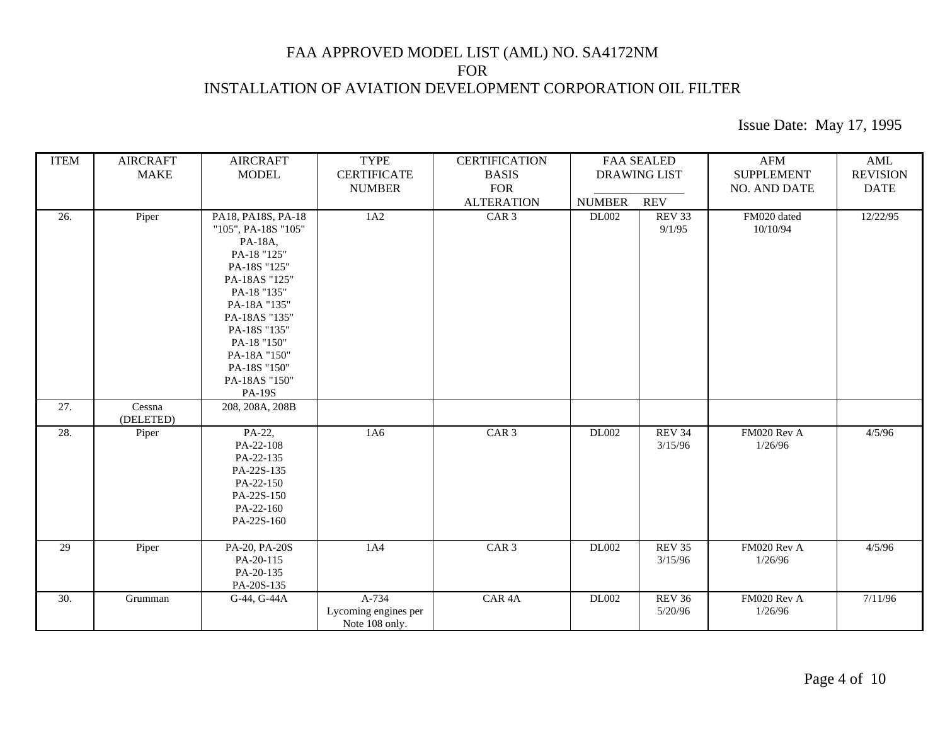| <b>ITEM</b> | <b>AIRCRAFT</b><br><b>MAKE</b> | <b>AIRCRAFT</b><br><b>MODEL</b>                                                                                                                                                                                                                       | <b>TYPE</b><br><b>CERTIFICATE</b><br><b>NUMBER</b> | <b>CERTIFICATION</b><br><b>BASIS</b><br><b>FOR</b> | <b>FAA SEALED</b><br><b>DRAWING LIST</b> |                                       | <b>AFM</b><br><b>SUPPLEMENT</b><br><b>NO. AND DATE</b> | $\mathbf{AML}$<br><b>REVISION</b><br><b>DATE</b> |
|-------------|--------------------------------|-------------------------------------------------------------------------------------------------------------------------------------------------------------------------------------------------------------------------------------------------------|----------------------------------------------------|----------------------------------------------------|------------------------------------------|---------------------------------------|--------------------------------------------------------|--------------------------------------------------|
| 26.         | Piper                          | PA18, PA18S, PA-18<br>"105", PA-18S "105"<br>PA-18A,<br>PA-18 "125"<br>PA-18S "125"<br>PA-18AS "125"<br>PA-18 "135"<br>PA-18A "135"<br>PA-18AS "135"<br>PA-18S "135"<br>PA-18 "150"<br>PA-18A "150"<br>PA-18S "150"<br>PA-18AS "150"<br><b>PA-19S</b> | 1A2                                                | <b>ALTERATION</b><br>CAR <sub>3</sub>              | <b>NUMBER</b><br>DL002                   | <b>REV</b><br><b>REV 33</b><br>9/1/95 | FM020 dated<br>10/10/94                                | 12/22/95                                         |
| 27.         | Cessna<br>(DELETED)            | 208, 208A, 208B                                                                                                                                                                                                                                       |                                                    |                                                    |                                          |                                       |                                                        |                                                  |
| 28.         | Piper                          | PA-22,<br>PA-22-108<br>PA-22-135<br>PA-22S-135<br>PA-22-150<br>PA-22S-150<br>PA-22-160<br>PA-22S-160                                                                                                                                                  | 1A6                                                | CAR <sub>3</sub>                                   | <b>DL002</b>                             | <b>REV 34</b><br>3/15/96              | FM020 Rev A<br>1/26/96                                 | 4/5/96                                           |
| 29          | Piper                          | PA-20, PA-20S<br>PA-20-115<br>PA-20-135<br>PA-20S-135                                                                                                                                                                                                 | 1A4                                                | CAR <sub>3</sub>                                   | DL002                                    | <b>REV 35</b><br>3/15/96              | FM020 Rev A<br>1/26/96                                 | 4/5/96                                           |
| 30.         | Grumman                        | G-44, G-44A                                                                                                                                                                                                                                           | A-734<br>Lycoming engines per<br>Note 108 only.    | CAR <sub>4</sub> A                                 | DL002                                    | $REV$ 36<br>5/20/96                   | FM020 Rev A<br>1/26/96                                 | 7/11/96                                          |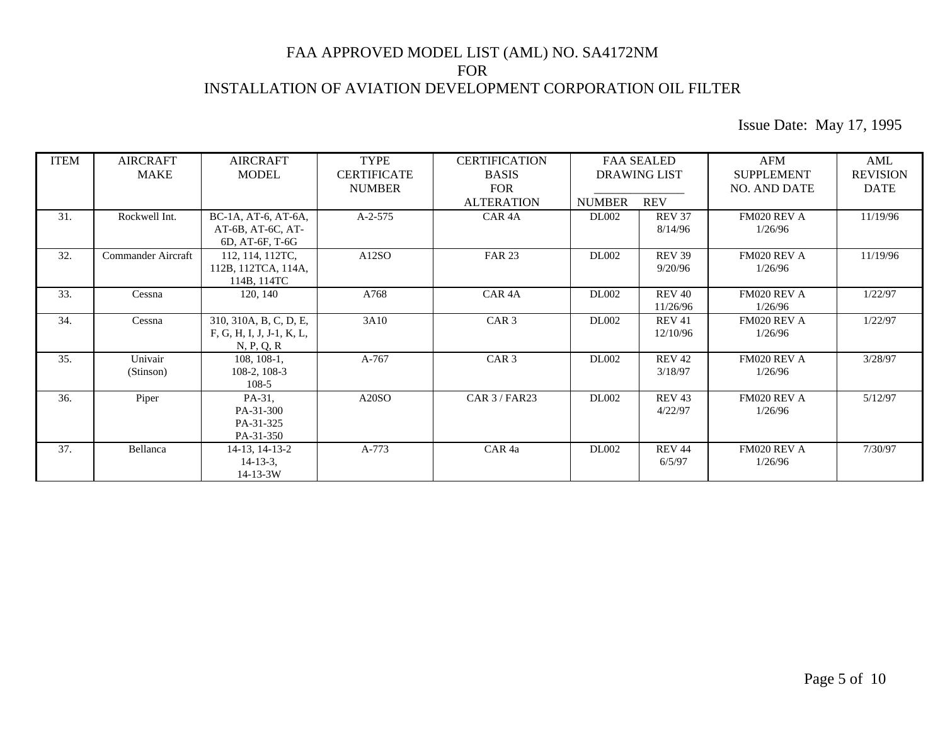| <b>ITEM</b> | <b>AIRCRAFT</b><br><b>MAKE</b> | <b>AIRCRAFT</b><br><b>MODEL</b> | <b>TYPE</b><br><b>CERTIFICATE</b> | <b>CERTIFICATION</b><br><b>BASIS</b> |               | <b>FAA SEALED</b><br><b>DRAWING LIST</b> | AFM<br><b>SUPPLEMENT</b> | AML<br><b>REVISION</b> |
|-------------|--------------------------------|---------------------------------|-----------------------------------|--------------------------------------|---------------|------------------------------------------|--------------------------|------------------------|
|             |                                |                                 | <b>NUMBER</b>                     | <b>FOR</b>                           |               |                                          | <b>NO. AND DATE</b>      | <b>DATE</b>            |
|             |                                |                                 |                                   | <b>ALTERATION</b>                    | <b>NUMBER</b> | <b>REV</b>                               |                          |                        |
| 31.         | Rockwell Int.                  | BC-1A, AT-6, AT-6A,             | $A-2-575$                         | CAR <sub>4</sub> A                   | <b>DL002</b>  | <b>REV 37</b>                            | FM020 REV A              | 11/19/96               |
|             |                                | AT-6B, AT-6C, AT-               |                                   |                                      |               | 8/14/96                                  | 1/26/96                  |                        |
|             |                                | 6D, AT-6F, T-6G                 |                                   |                                      |               |                                          |                          |                        |
| 32.         | Commander Aircraft             | 112, 114, 112TC,                | A12SO                             | <b>FAR 23</b>                        | <b>DL002</b>  | <b>REV 39</b>                            | FM020 REV A              | 11/19/96               |
|             |                                | 112B, 112TCA, 114A,             |                                   |                                      |               | 9/20/96                                  | 1/26/96                  |                        |
|             |                                | 114B, 114TC                     |                                   |                                      |               |                                          |                          |                        |
| 33.         | Cessna                         | 120, 140                        | A768                              | CAR <sub>4</sub> A                   | <b>DL002</b>  | <b>REV 40</b>                            | FM020 REV A              | 1/22/97                |
|             |                                |                                 |                                   |                                      |               | 11/26/96                                 | 1/26/96                  |                        |
| 34.         | Cessna                         | 310, 310A, B, C, D, E,          | 3A10                              | CAR <sub>3</sub>                     | <b>DL002</b>  | <b>REV 41</b>                            | FM020 REV A              | 1/22/97                |
|             |                                | F, G, H, I, J, J-1, K, L,       |                                   |                                      |               | 12/10/96                                 | 1/26/96                  |                        |
|             |                                | N, P, Q, R                      |                                   |                                      |               |                                          |                          |                        |
| 35.         | Univair                        | 108, 108-1,                     | A-767                             | CAR <sub>3</sub>                     | <b>DL002</b>  | <b>REV 42</b>                            | FM020 REV A              | 3/28/97                |
|             | (Stinson)                      | 108-2, 108-3                    |                                   |                                      |               | 3/18/97                                  | 1/26/96                  |                        |
|             |                                | 108-5                           |                                   |                                      |               |                                          |                          |                        |
| 36.         | Piper                          | PA-31,                          | A20SO                             | $CAR$ $3$ / $FAR$ 23                 | <b>DL002</b>  | <b>REV 43</b>                            | FM020 REV A              | 5/12/97                |
|             |                                | PA-31-300                       |                                   |                                      |               | 4/22/97                                  | 1/26/96                  |                        |
|             |                                | PA-31-325                       |                                   |                                      |               |                                          |                          |                        |
|             |                                | PA-31-350                       |                                   |                                      |               |                                          |                          |                        |
| 37.         | Bellanca                       | 14-13, 14-13-2                  | A-773                             | CAR <sub>4a</sub>                    | <b>DL002</b>  | <b>REV 44</b>                            | FM020 REV A              | 7/30/97                |
|             |                                | $14 - 13 - 3$ ,                 |                                   |                                      |               | 6/5/97                                   | 1/26/96                  |                        |
|             |                                | $14 - 13 - 3W$                  |                                   |                                      |               |                                          |                          |                        |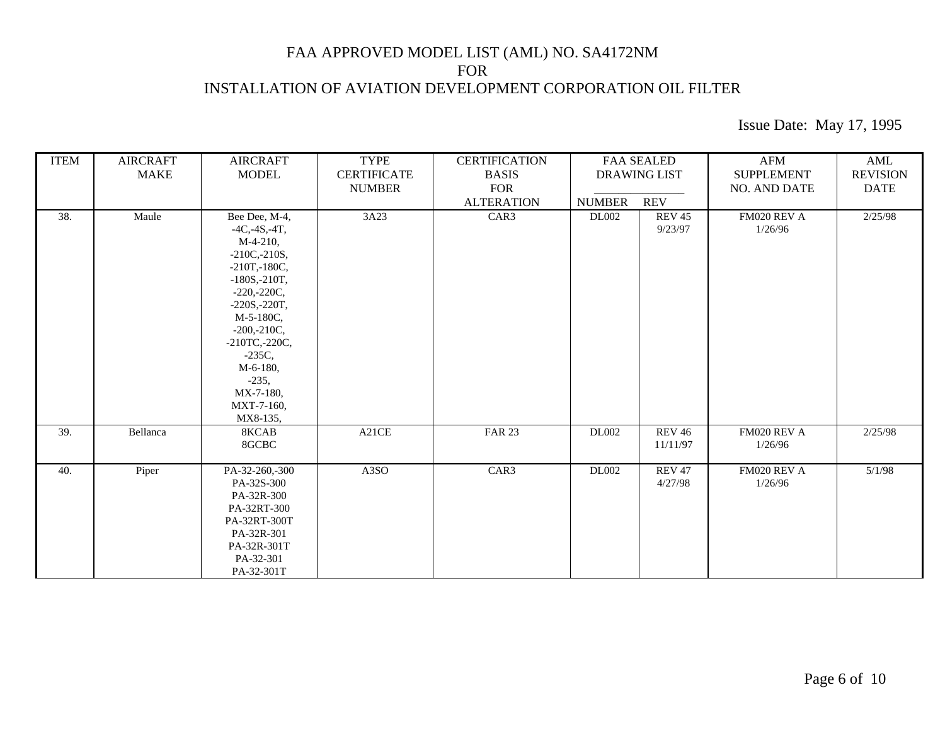| <b>ITEM</b> | <b>AIRCRAFT</b><br><b>MAKE</b> | <b>AIRCRAFT</b><br><b>MODEL</b>                                                                                                                                                                                                                                                       | <b>TYPE</b><br><b>CERTIFICATE</b> | <b>CERTIFICATION</b><br><b>BASIS</b> | <b>FAA SEALED</b><br><b>DRAWING LIST</b> |                           | AFM<br><b>SUPPLEMENT</b> | AML<br><b>REVISION</b> |
|-------------|--------------------------------|---------------------------------------------------------------------------------------------------------------------------------------------------------------------------------------------------------------------------------------------------------------------------------------|-----------------------------------|--------------------------------------|------------------------------------------|---------------------------|--------------------------|------------------------|
|             |                                |                                                                                                                                                                                                                                                                                       | <b>NUMBER</b>                     | <b>FOR</b><br><b>ALTERATION</b>      | <b>NUMBER</b>                            | <b>REV</b>                | NO. AND DATE             | <b>DATE</b>            |
| 38.         | Maule                          | Bee Dee, M-4,<br>$-4C, -4S, -4T,$<br>$M-4-210$ ,<br>$-210C - 210S$ ,<br>$-210T, -180C,$<br>$-180S, -210T,$<br>$-220, -220C,$<br>$-220S, -220T,$<br>M-5-180C,<br>$-200, -210C,$<br>$-210$ TC $, -220$ C $,$<br>$-235C$ ,<br>M-6-180,<br>$-235,$<br>MX-7-180,<br>MXT-7-160,<br>MX8-135, | 3A23                              | CAR3                                 | DL002                                    | <b>REV 45</b><br>9/23/97  | FM020 REV A<br>1/26/96   | 2/25/98                |
| 39.         | Bellanca                       | 8KCAB<br>8GCBC                                                                                                                                                                                                                                                                        | A21CE                             | <b>FAR 23</b>                        | DL002                                    | <b>REV 46</b><br>11/11/97 | FM020 REV A<br>1/26/96   | 2/25/98                |
| 40.         | Piper                          | PA-32-260,-300<br>PA-32S-300<br>PA-32R-300<br>PA-32RT-300<br>PA-32RT-300T<br>PA-32R-301<br>PA-32R-301T<br>PA-32-301<br>PA-32-301T                                                                                                                                                     | A3SO                              | CAR3                                 | <b>DL002</b>                             | <b>REV 47</b><br>4/27/98  | FM020 REV A<br>1/26/96   | 5/1/98                 |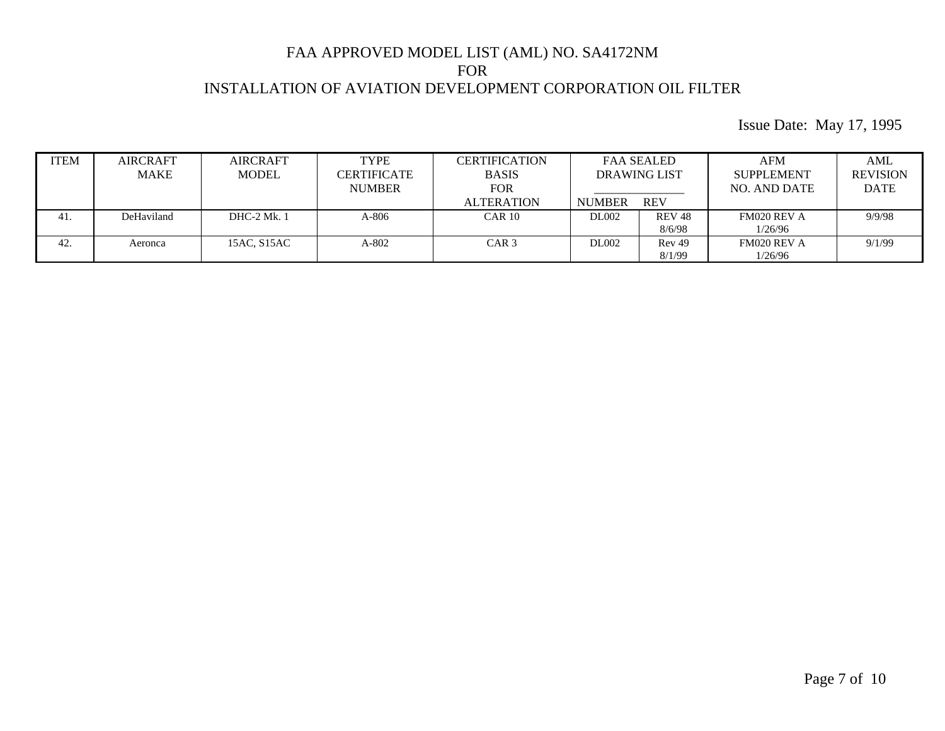| <b>ITEM</b> | <b>AIRCRAFT</b><br><b>MAKE</b> | <b>AIRCRAFT</b><br><b>MODEL</b> | <b>TYPE</b><br>CERTIFICATE<br><b>NUMBER</b> | CERTIFICATION<br><b>BASIS</b><br>FOR | <b>FAA SEALED</b><br><b>DRAWING LIST</b> |                   | AFM<br><b>SUPPLEMENT</b><br>NO. AND DATE | AML<br><b>REVISION</b><br><b>DATE</b> |
|-------------|--------------------------------|---------------------------------|---------------------------------------------|--------------------------------------|------------------------------------------|-------------------|------------------------------------------|---------------------------------------|
|             |                                |                                 |                                             | <b>ALTERATION</b>                    | <b>NUMBER</b>                            | <b>REV</b>        |                                          |                                       |
| 41.         | DeHaviland                     | <b>DHC-2 Mk. 1</b>              | $A-806$                                     | $CAR$ 10                             | <b>DL002</b>                             | <b>REV 48</b>     | FM020 REV A                              | 9/9/98                                |
|             |                                |                                 |                                             |                                      |                                          | 8/6/98            | 1/26/96                                  |                                       |
| 42.         | Aeronca                        | 15AC, S15AC                     | A-802                                       | CAR <sub>3</sub>                     | DL002                                    | Rev <sub>49</sub> | FM020 REV A                              | 9/1/99                                |
|             |                                |                                 |                                             |                                      |                                          | 8/1/99            | 1/26/96                                  |                                       |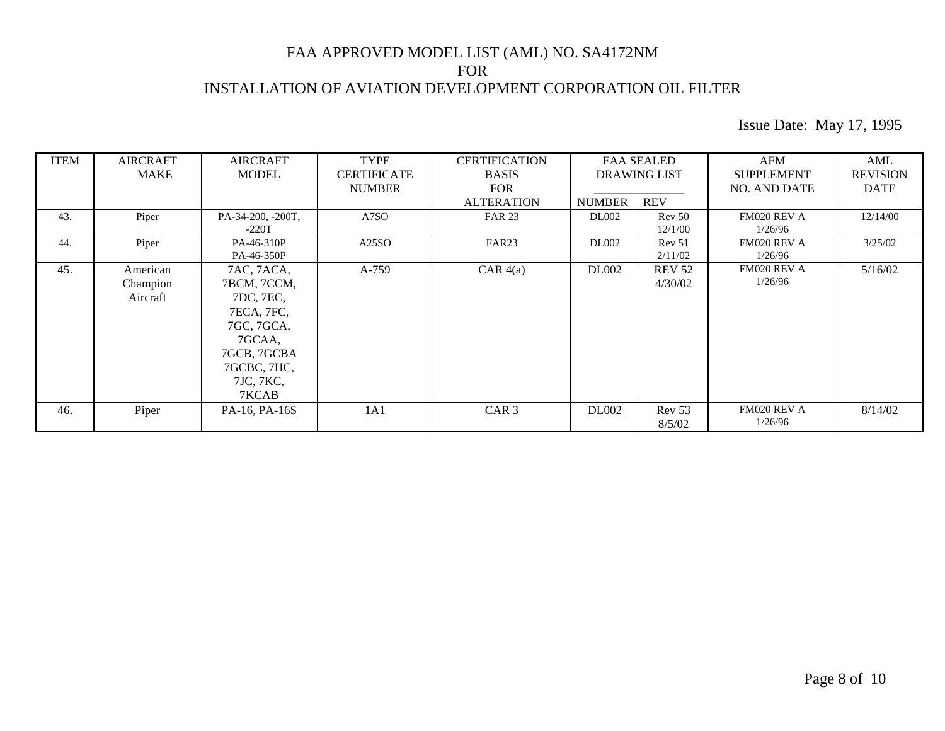| <b>ITEM</b> | <b>AIRCRAFT</b><br><b>MAKE</b>   | <b>AIRCRAFT</b><br><b>MODEL</b>                                                                                                  | <b>TYPE</b><br><b>CERTIFICATE</b><br><b>NUMBER</b> | <b>CERTIFICATION</b><br><b>BASIS</b><br><b>FOR</b> | <b>DRAWING LIST</b> | <b>FAA SEALED</b>            | AFM<br><b>SUPPLEMENT</b><br><b>NO. AND DATE</b> | AML<br><b>REVISION</b><br><b>DATE</b> |
|-------------|----------------------------------|----------------------------------------------------------------------------------------------------------------------------------|----------------------------------------------------|----------------------------------------------------|---------------------|------------------------------|-------------------------------------------------|---------------------------------------|
|             |                                  |                                                                                                                                  |                                                    | <b>ALTERATION</b>                                  | <b>NUMBER</b>       | <b>REV</b>                   |                                                 |                                       |
| 43.         | Piper                            | PA-34-200, -200T,<br>$-220T$                                                                                                     | A7SO                                               | <b>FAR 23</b>                                      | <b>DL002</b>        | Rev 50<br>12/1/00            | FM020 REV A<br>1/26/96                          | 12/14/00                              |
| 44.         | Piper                            | PA-46-310P<br>PA-46-350P                                                                                                         | A25SO                                              | FAR <sub>23</sub>                                  | <b>DL002</b>        | Rev <sub>51</sub><br>2/11/02 | FM020 REV A<br>1/26/96                          | 3/25/02                               |
| 45.         | American<br>Champion<br>Aircraft | 7AC, 7ACA,<br>7BCM, 7CCM,<br>7DC, 7EC,<br>7ECA, 7FC,<br>7GC, 7GCA,<br>7GCAA,<br>7GCB, 7GCBA<br>7GCBC, 7HC,<br>7JC, 7KC,<br>7KCAB | A-759                                              | $CAR$ 4(a)                                         | <b>DL002</b>        | <b>REV 52</b><br>4/30/02     | FM020 REV A<br>1/26/96                          | 5/16/02                               |
| 46.         | Piper                            | PA-16, PA-16S                                                                                                                    | 1A1                                                | CAR <sub>3</sub>                                   | <b>DL002</b>        | Rev 53<br>8/5/02             | FM020 REV A<br>1/26/96                          | 8/14/02                               |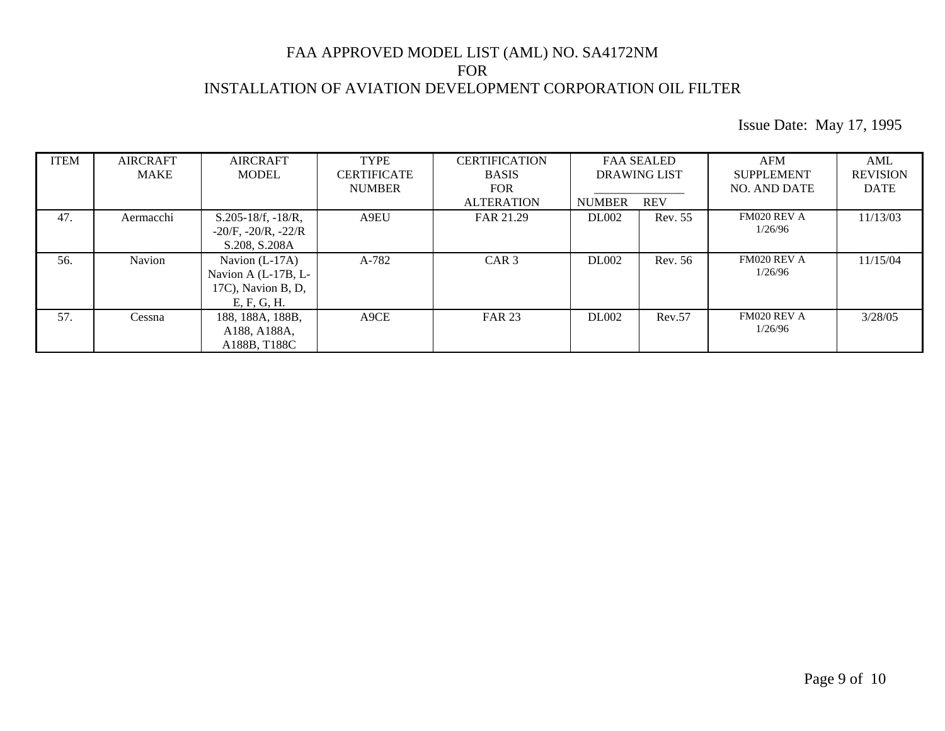| <b>ITEM</b> | <b>AIRCRAFT</b> | <b>AIRCRAFT</b>                                                              | <b>TYPE</b>        | <b>CERTIFICATION</b> |               | <b>FAA SEALED</b>   | AFM                    | AML             |
|-------------|-----------------|------------------------------------------------------------------------------|--------------------|----------------------|---------------|---------------------|------------------------|-----------------|
|             | MAKE            | <b>MODEL</b>                                                                 | <b>CERTIFICATE</b> | <b>BASIS</b>         |               | <b>DRAWING LIST</b> | <b>SUPPLEMENT</b>      | <b>REVISION</b> |
|             |                 |                                                                              | <b>NUMBER</b>      | <b>FOR</b>           |               |                     | <b>NO. AND DATE</b>    | <b>DATE</b>     |
|             |                 |                                                                              |                    | <b>ALTERATION</b>    | <b>NUMBER</b> | <b>REV</b>          |                        |                 |
| 47.         | Aermacchi       | $S.205-18/f, -18/R,$<br>$-20/F$ , $-20/R$ , $-22/R$<br>S.208, S.208A         | A9EU               | FAR 21.29            | <b>DL002</b>  | Rev. 55             | FM020 REV A<br>1/26/96 | 11/13/03        |
| 56.         | Navion          | Navion $(L-17A)$<br>Navion A (L-17B, L-<br>17C), Navion B, D,<br>E, F, G, H. | A-782              | CAR <sub>3</sub>     | <b>DL002</b>  | Rev. 56             | FM020 REV A<br>1/26/96 | 11/15/04        |
| 57.         | Cessna          | 188, 188A, 188B,<br>A188, A188A,<br>A188B, T188C                             | A9CE               | <b>FAR 23</b>        | <b>DL002</b>  | Rev.57              | FM020 REV A<br>1/26/96 | 3/28/05         |